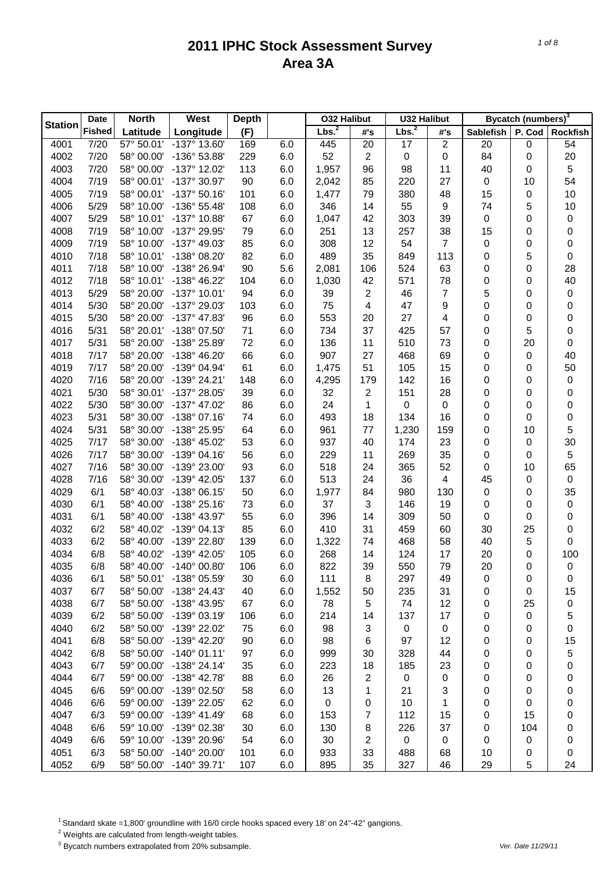|                | <b>Date</b>   | <b>North</b> | West                  | <b>Depth</b> |     | <b>032 Halibut</b> |                  | <b>U32 Halibut</b> |                         |           | Bycatch (numbers) <sup>3</sup> |                  |
|----------------|---------------|--------------|-----------------------|--------------|-----|--------------------|------------------|--------------------|-------------------------|-----------|--------------------------------|------------------|
| <b>Station</b> | <b>Fished</b> | Latitude     | Longitude             | (F)          |     | Lbs. <sup>2</sup>  | #'s              | Lbs. <sup>2</sup>  | #'s                     | Sablefish | P. Cod                         | <b>Rockfish</b>  |
| 4001           | 7/20          | 57° 50.01'   | -137° 13.60'          | 169          | 6.0 | 445                | 20               | 17                 | $\overline{2}$          | 20        | 0                              | 54               |
| 4002           | 7/20          | 58° 00.00'   | -136° 53.88'          | 229          | 6.0 | 52                 | $\boldsymbol{2}$ | $\pmb{0}$          | 0                       | 84        | 0                              | 20               |
| 4003           | 7/20          | 58° 00.00'   | -137° 12.02'          | 113          | 6.0 | 1,957              | 96               | 98                 | 11                      | 40        | 0                              | $\,$ 5 $\,$      |
| 4004           | 7/19          | 58° 00.01'   | -137° 30.97'          | 90           | 6.0 | 2,042              | 85               | 220                | 27                      | $\pmb{0}$ | 10                             | 54               |
| 4005           | 7/19          | 58° 00.01'   | $-137°50.16'$         | 101          | 6.0 | 1,477              | 79               | 380                | 48                      | 15        | 0                              | 10               |
| 4006           | 5/29          | 58° 10.00'   | -136° 55.48'          | 108          | 6.0 | 346                | 14               | 55                 | 9                       | 74        | 5                              | 10               |
| 4007           | 5/29          | 58° 10.01'   | -137° 10.88'          | 67           | 6.0 | 1,047              | 42               | 303                | 39                      | $\pmb{0}$ | 0                              | $\pmb{0}$        |
| 4008           | 7/19          | 58° 10.00'   | -137° 29.95'          | 79           | 6.0 | 251                | 13               | 257                | 38                      | 15        | 0                              | 0                |
| 4009           | 7/19          | 58° 10.00'   | -137° 49.03'          | 85           | 6.0 | 308                | 12               | 54                 | $\overline{7}$          | 0         | 0                              | 0                |
| 4010           | 7/18          | 58° 10.01'   | -138° 08.20'          | 82           | 6.0 | 489                | 35               | 849                | 113                     | 0         | 5                              | $\boldsymbol{0}$ |
| 4011           | 7/18          | 58° 10.00'   | -138° 26.94'          | 90           | 5.6 | 2,081              | 106              | 524                | 63                      | 0         | 0                              | 28               |
| 4012           | 7/18          | 58° 10.01'   | -138° 46.22'          | 104          | 6.0 | 1,030              | 42               | 571                | 78                      | 0         | 0                              | 40               |
| 4013           | 5/29          | 58° 20.00'   | -137° 10.01'          | 94           | 6.0 | 39                 | 2                | 46                 | $\overline{7}$          | 5         | 0                              | $\pmb{0}$        |
| 4014           | 5/30          | 58° 20.00'   | -137° 29.03'          | 103          | 6.0 | 75                 | 4                | 47                 | 9                       | 0         | 0                              | 0                |
| 4015           | 5/30          | 58° 20.00'   | -137° 47.83'          | 96           | 6.0 | 553                | 20               | 27                 | 4                       | 0         | 0                              | 0                |
| 4016           | 5/31          | 58° 20.01'   | -138° 07.50'          | 71           | 6.0 | 734                | 37               | 425                | 57                      | 0         | 5                              | 0                |
| 4017           | 5/31          | 58° 20.00'   | -138° 25.89'          | 72           | 6.0 | 136                | 11               | 510                | 73                      | 0         | 20                             | $\boldsymbol{0}$ |
| 4018           | 7/17          | 58° 20.00'   | -138° 46.20'          | 66           | 6.0 | 907                | 27               | 468                | 69                      | 0         | 0                              | 40               |
| 4019           | 7/17          | 58° 20.00'   | -139° 04.94'          | 61           | 6.0 | 1,475              | 51               | 105                | 15                      | 0         | 0                              | 50               |
| 4020           | 7/16          | 58° 20.00'   | -139° 24.21'          | 148          | 6.0 | 4,295              | 179              | 142                | 16                      | 0         | 0                              | $\pmb{0}$        |
| 4021           | 5/30          | 58° 30.01'   | -137° 28.05'          | 39           | 6.0 | 32                 | 2                | 151                | 28                      | 0         | 0                              | 0                |
| 4022           | 5/30          | 58° 30.00'   | -137° 47.02'          | 86           | 6.0 | 24                 | 1                | $\pmb{0}$          | $\mathbf 0$             | 0         | 0                              | 0                |
| 4023           | 5/31          | 58° 30.00'   | $-138^{\circ}$ 07.16' | 74           | 6.0 | 493                | 18               | 134                | 16                      | 0         | 0                              | 0                |
| 4024           | 5/31          | 58° 30.00'   | -138° 25.95'          | 64           | 6.0 | 961                | 77               | 1,230              | 159                     | 0         | 10                             | 5                |
| 4025           | 7/17          | 58° 30.00'   | -138° 45.02'          | 53           | 6.0 | 937                | 40               | 174                | 23                      | 0         | 0                              | 30               |
| 4026           | 7/17          | 58° 30.00'   | $-139°04.16'$         | 56           | 6.0 | 229                | 11               | 269                | 35                      | 0         | 0                              | $\,$ 5 $\,$      |
| 4027           | 7/16          | 58° 30.00'   | -139° 23.00'          | 93           | 6.0 | 518                | 24               | 365                | 52                      | 0         | 10                             | 65               |
| 4028           | 7/16          | 58° 30.00'   | -139° 42.05'          | 137          | 6.0 | 513                | 24               | 36                 | $\overline{\mathbf{4}}$ | 45        | 0                              | $\boldsymbol{0}$ |
| 4029           | 6/1           | 58° 40.03'   | $-138°06.15'$         | 50           | 6.0 | 1,977              | 84               | 980                | 130                     | 0         | 0                              | 35               |
| 4030           | 6/1           | 58° 40.00'   | -138° 25.16'          | 73           | 6.0 | 37                 | 3                | 146                | 19                      | 0         | 0                              | $\pmb{0}$        |
| 4031           | 6/1           | 58° 40.00'   | -138° 43.97'          | 55           | 6.0 | 396                | 14               | 309                | 50                      | 0         | 0                              | 0                |
| 4032           | 6/2           | 58° 40.02'   | $-139°04.13'$         | 85           | 6.0 | 410                | 31               | 459                | 60                      | 30        | 25                             | 0                |
| 4033           | 6/2           | 58° 40.00'   | -139° 22.80'          | 139          | 6.0 | 1,322              | 74               | 468                | 58                      | 40        | 5                              | 0                |
| 4034           | 6/8           | 58° 40.02'   | -139° 42.05'          | 105          | 6.0 | 268                | 14               | 124                | 17                      | 20        | 0                              | 100              |
| 4035           | 6/8           | 58° 40.00'   | $-140^{\circ}$ 00.80' | 106          | 6.0 | 822                | 39               | 550                | 79                      | 20        | 0                              | $\pmb{0}$        |
| 4036           | 6/1           | 58° 50.01'   | -138° 05.59'          | 30           | 6.0 | 111                | 8                | 297                | 49                      | 0         | 0                              | 0                |
| 4037           | 6/7           | 58° 50.00'   | -138° 24.43'          | 40           | 6.0 | 1,552              | 50               | 235                | 31                      | 0         | 0                              | 15               |
| 4038           | 6/7           | 58° 50.00'   | -138° 43.95'          | 67           | 6.0 | 78                 | 5                | 74                 | 12                      | 0         | 25                             | 0                |
| 4039           | 6/2           | 58° 50.00'   | -139° 03.19'          | 106          | 6.0 | 214                | 14               | 137                | 17                      | 0         | 0                              | 5                |
| 4040           | 6/2           | 58° 50.00'   | -139° 22.02'          | 75           | 6.0 | 98                 | 3                | 0                  | 0                       | 0         | 0                              | 0                |
| 4041           | 6/8           | 58° 50.00'   | -139° 42.20'          | 90           | 6.0 | 98                 | 6                | 97                 | 12                      | 0         | 0                              | 15               |
| 4042           | 6/8           | 58° 50.00'   | $-140^{\circ}$ 01.11' | 97           | 6.0 | 999                | 30               | 328                | 44                      | 0         | 0                              | 5                |
| 4043           | 6/7           | 59° 00.00'   | $-138°$ 24.14'        | 35           | 6.0 | 223                | 18               | 185                | 23                      | 0         | 0                              | 0                |
| 4044           | 6/7           | 59° 00.00'   | -138° 42.78'          | 88           | 6.0 | 26                 | 2                | 0                  | 0                       | 0         | 0                              | 0                |
| 4045           | 6/6           | 59° 00.00'   | -139° 02.50'          | 58           | 6.0 | 13                 | 1                | 21                 | 3                       | 0         | 0                              | 0                |
| 4046           | 6/6           | 59° 00.00'   | -139° 22.05'          | 62           | 6.0 | 0                  | 0                | 10                 | 1                       | 0         | 0                              | 0                |
| 4047           | 6/3           | 59° 00.00'   | $-139^{\circ}$ 41.49' | 68           | 6.0 | 153                | 7                | 112                | 15                      | 0         | 15                             | 0                |
| 4048           | 6/6           | 59° 10.00'   | -139° 02.38'          | 30           | 6.0 | 130                | 8                | 226                | 37                      | 0         | 104                            | 0                |
| 4049           | 6/6           | 59° 10.00'   | -139° 20.96'          | 54           | 6.0 | 30                 | 2                | $\mathbf 0$        | 0                       | 0         | 0                              | 0                |
| 4051           | 6/3           | 58° 50.00'   | -140° 20.00'          | 101          | 6.0 | 933                | 33               | 488                | 68                      | 10        | 0                              | 0                |
| 4052           | 6/9           | 58° 50.00'   | $-140^{\circ}$ 39.71' | 107          | 6.0 | 895                | 35               | 327                | 46                      | 29        | 5                              | 24               |

<sup>1</sup> Standard skate =1,800' groundline with 16/0 circle hooks spaced every 18' on 24"-42" gangions.

2 Weights are calculated from length-weight tables.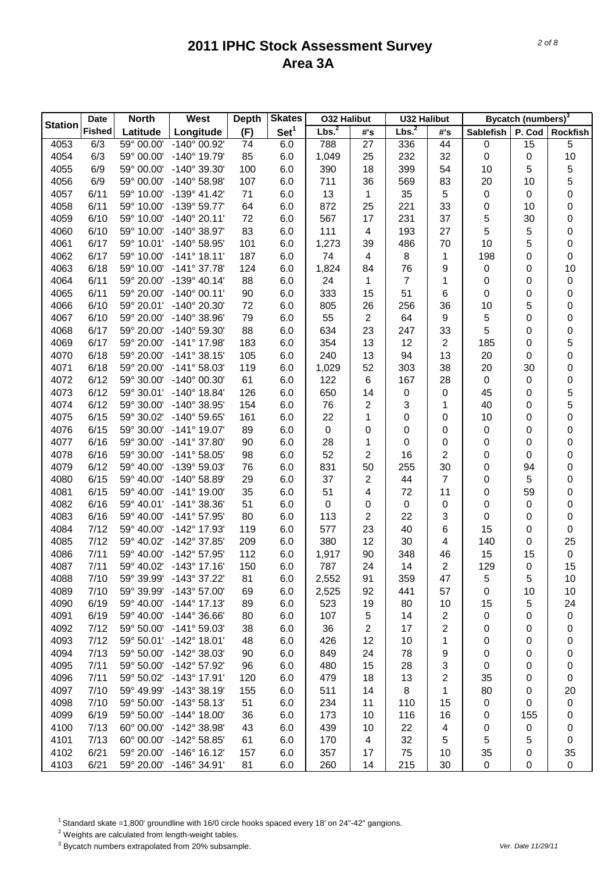|                | <b>Date</b>   | <b>North</b> | West                    | <b>Depth</b> | <b>Skates</b>    | <b>032 Halibut</b> |     | <b>U32 Halibut</b> |                | <b>Bycatch (numbers)</b> <sup>3</sup> |        |                 |
|----------------|---------------|--------------|-------------------------|--------------|------------------|--------------------|-----|--------------------|----------------|---------------------------------------|--------|-----------------|
| <b>Station</b> | <b>Fished</b> | Latitude     | Longitude               | (F)          | Set <sup>1</sup> | Lbs. <sup>2</sup>  | #'s | Lbs. <sup>2</sup>  | #'s            | Sablefish                             | P. Cod | <b>Rockfish</b> |
| 4053           | 6/3           | 59° 00.00'   | $-140°$ 00.92           | 74           | 6.0              | 788                | 27  | 336                | 44             | 0                                     | 15     | $\sqrt{5}$      |
| 4054           | 6/3           | 59° 00.00'   | -140° 19.79'            | 85           | 6.0              | 1,049              | 25  | 232                | 32             | $\boldsymbol{0}$                      | 0      | 10              |
| 4055           | 6/9           | 59° 00.00'   | -140° 39.30'            | 100          | 6.0              | 390                | 18  | 399                | 54             | 10                                    | 5      | $\sqrt{5}$      |
| 4056           | 6/9           | 59° 00.00'   | -140° 58.98'            | 107          | 6.0              | 711                | 36  | 569                | 83             | 20                                    | 10     | 5               |
| 4057           | 6/11          | 59° 10.00'   | $-139^{\circ}$ 41.42    | 71           | 6.0              | 13                 | 1   | 35                 | 5              | $\boldsymbol{0}$                      | 0      | 0               |
| 4058           | 6/11          | 59° 10.00'   | -139° 59.77'            | 64           | 6.0              | 872                | 25  | 221                | 33             | 0                                     | 10     | 0               |
| 4059           | 6/10          | 59° 10.00'   | $-140^{\circ}$ 20.11'   | 72           | 6.0              | 567                | 17  | 231                | 37             | 5                                     | 30     | 0               |
| 4060           | 6/10          | 59° 10.00'   | $-140^{\circ}$ 38.97'   | 83           | 6.0              | 111                | 4   | 193                | 27             | 5                                     | 5      | 0               |
| 4061           | 6/17          | 59° 10.01'   | -140° 58.95'            | 101          | 6.0              | 1,273              | 39  | 486                | 70             | 10                                    | 5      | 0               |
| 4062           | 6/17          | 59° 10.00'   | $-141°$ 18.11'          | 187          | 6.0              | 74                 | 4   | 8                  | 1              | 198                                   | 0      | 0               |
| 4063           | 6/18          | 59° 10.00'   | $-141°37.78'$           | 124          | 6.0              | 1,824              | 84  | 76                 | 9              | 0                                     | 0      | 10              |
| 4064           | 6/11          | 59° 20.00'   | $-139^{\circ}$ 40.14'   | 88           | 6.0              | 24                 | 1   | $\overline{7}$     | 1              | 0                                     | 0      | $\pmb{0}$       |
| 4065           | 6/11          | 59° 20.00'   | $-140^{\circ}$ 00.11'   | 90           | 6.0              | 333                | 15  | 51                 | 6              | 0                                     | 0      | 0               |
| 4066           | 6/10          | 59° 20.01'   | -140° 20.30'            | 72           | 6.0              | 805                | 26  | 256                | 36             | 10                                    | 5      | 0               |
| 4067           | 6/10          | 59° 20.00'   | $-140^{\circ}$ 38.96'   | 79           | 6.0              | 55                 | 2   | 64                 | 9              | 5                                     | 0      | 0               |
| 4068           | 6/17          | 59° 20.00'   | -140° 59.30'            | 88           | 6.0              | 634                | 23  | 247                | 33             | 5                                     | 0      | 0               |
| 4069           | 6/17          | 59° 20.00'   | $-141^{\circ}$ 17.98'   | 183          | 6.0              | 354                | 13  | 12                 | $\overline{2}$ | 185                                   | 0      | 5               |
| 4070           | 6/18          | 59° 20.00'   | $-141°38.15'$           | 105          | 6.0              | 240                | 13  | 94                 | 13             | 20                                    | 0      | 0               |
| 4071           | 6/18          | 59° 20.00'   | $-141°58.03'$           | 119          | 6.0              | 1,029              | 52  | 303                | 38             | 20                                    | 30     | 0               |
| 4072           | 6/12          | 59° 30.00'   | $-140^{\circ}$ 00.30'   | 61           | 6.0              | 122                | 6   | 167                | 28             | $\pmb{0}$                             | 0      | 0               |
| 4073           | 6/12          | 59° 30.01'   | $-140^{\circ}$ 18.84'   | 126          | 6.0              | 650                | 14  | $\pmb{0}$          | $\pmb{0}$      | 45                                    | 0      | 5               |
| 4074           | 6/12          | 59° 30.00'   | -140° 38.95'            | 154          | 6.0              | 76                 | 2   | 3                  | 1              | 40                                    | 0      | 5               |
| 4075           | 6/15          | 59° 30.02'   | -140° 59.65'            | 161          | 6.0              | 22                 | 1   | 0                  | 0              | 10                                    | 0      | $\mathbf 0$     |
| 4076           | 6/15          | 59° 30.00'   | $-141^{\circ}$ 19.07'   | 89           | 6.0              | $\boldsymbol{0}$   | 0   | 0                  | 0              | 0                                     | 0      | 0               |
| 4077           | 6/16          | 59° 30.00'   | $-141°37.80'$           | 90           | 6.0              | 28                 | 1   | 0                  | 0              | 0                                     | 0      | 0               |
| 4078           | 6/16          | 59° 30.00'   | $-141°58.05'$           | 98           | 6.0              | 52                 | 2   | 16                 | 2              | 0                                     | 0      | 0               |
| 4079           | 6/12          | 59° 40.00'   | -139° 59.03'            | 76           | 6.0              | 831                | 50  | 255                | 30             | 0                                     | 94     | 0               |
| 4080           | 6/15          | 59° 40.00'   | $-140^{\circ}$ 58.89    | 29           | 6.0              | 37                 | 2   | 44                 | 7              | 0                                     | 5      | 0               |
| 4081           | 6/15          | 59° 40.00'   | $-141^{\circ}$ 19.00'   | 35           | 6.0              | 51                 | 4   | 72                 | 11             | 0                                     | 59     | 0               |
| 4082           | 6/16          | 59° 40.01'   | -141° 38.36'            | 51           | 6.0              | $\pmb{0}$          | 0   | 0                  | $\pmb{0}$      | 0                                     | 0      | 0               |
| 4083           | 6/16          | 59° 40.00'   | $-141^{\circ}$ 57.95    | 80           | 6.0              | 113                | 2   | 22                 | 3              | 0                                     | 0      | 0               |
| 4084           | 7/12          | 59° 40.00'   | -142° 17.93'            | 119          | 6.0              | 577                | 23  | 40                 | 6              | 15                                    | 0      | 0               |
| 4085           | 7/12          | 59° 40.02'   | -142° 37.85'            | 209          | 6.0              | 380                | 12  | 30                 | 4              | 140                                   | 0      | 25              |
| 4086           | 7/11          | 59° 40.00'   | -142° 57.95'            | 112          | 6.0              | 1,917              | 90  | 348                | 46             | 15                                    | 15     | $\mathbf 0$     |
| 4087           | 7/11          | 59° 40.02'   | $-143°$ 17.16           | 150          | 6.0              | 787                | 24  | 14                 | 2              | 129                                   | 0      | 15              |
| 4088           | 7/10          | 59° 39.99'   | -143° 37.22'            | 81           | 6.0              | 2,552              | 91  | 359                | 47             | 5                                     | 5      | 10              |
| 4089           | 7/10          | 59° 39.99'   | -143° 57.00'            | 69           | 6.0              | 2,525              | 92  | 441                | 57             | 0                                     | 10     | 10              |
| 4090           | 6/19          | 59° 40.00'   | $-144^{\circ}$ 17.13'   | 89           | 6.0              | 523                | 19  | 80                 | 10             | 15                                    | 5      | 24              |
| 4091           | 6/19          | 59° 40.00'   | $-144^{\circ}$ 36.66    | 80           | 6.0              | 107                | 5   | 14                 | 2              | 0                                     | 0      | $\pmb{0}$       |
| 4092           | 7/12          | 59° 50.00'   | $-141°59.03'$           | 38           | 6.0              | 36                 | 2   | 17                 | 2              | 0                                     | 0      | 0               |
| 4093           | 7/12          | 59° 50.01'   | $-142^{\circ}$ 18.01'   | 48           | 6.0              | 426                | 12  | 10                 | 1              | 0                                     | 0      | 0               |
| 4094           | 7/13          | 59° 50.00'   | $-142^{\circ}$ 38.03'   | 90           | 6.0              | 849                | 24  | 78                 | 9              | 0                                     | 0      | 0               |
| 4095           | 7/11          | 59° 50.00'   | -142° 57.92'            | 96           | 6.0              | 480                | 15  | 28                 | 3              | 0                                     | 0      | 0               |
| 4096           | 7/11          | 59° 50.02'   | $-143^{\circ}$ 17.91'   | 120          | 6.0              | 479                | 18  | 13                 | 2              | 35                                    | 0      | 0               |
| 4097           | 7/10          | 59° 49.99'   | $-143°38.19'$           | 155          | 6.0              | 511                | 14  | 8                  | 1              | 80                                    | 0      | 20              |
| 4098           | 7/10          | 59° 50.00'   | $-143^{\circ}58.13'$    | 51           | 6.0              | 234                | 11  | 110                | 15             | 0                                     | 0      | $\pmb{0}$       |
| 4099           | 6/19          | 59° 50.00'   | $-144^{\circ}$ 18.00'   | 36           | 6.0              | 173                | 10  | 116                | 16             | 0                                     | 155    | 0               |
| 4100           | 7/13          | 60° 00.00'   | -142° 38.98'            | 43           | 6.0              | 439                | 10  | 22                 | 4              | 0                                     | 0      | 0               |
| 4101           | 7/13          | 60° 00.00'   | -142° 58.85'            | 61           | 6.0              | 170                | 4   | 32                 | 5              | 5                                     | 5      | 0               |
| 4102           | 6/21          | 59° 20.00'   | $-146°$ 16.12           | 157          | 6.0              | 357                | 17  | 75                 | 10             | 35                                    | 0      | 35              |
| 4103           | 6/21          |              | 59° 20.00' -146° 34.91' | 81           | 6.0              | 260                | 14  | 215                | 30             | $\mathbf 0$                           | 0      | 0               |

<sup>1</sup> Standard skate =1,800' groundline with 16/0 circle hooks spaced every 18' on 24"-42" gangions.

2 Weights are calculated from length-weight tables.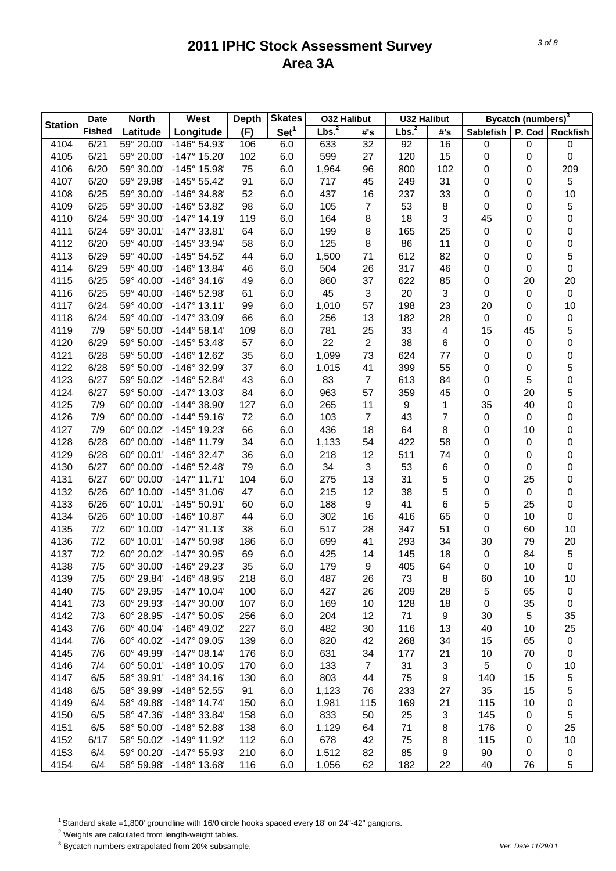|                | <b>Date</b>   | <b>North</b> | West                  | <b>Depth</b> | <b>Skates</b>    | <b>032 Halibut</b> |                | <b>U32 Halibut</b> |                           |                  | <b>Bycatch (numbers)</b> <sup>3</sup> |                  |
|----------------|---------------|--------------|-----------------------|--------------|------------------|--------------------|----------------|--------------------|---------------------------|------------------|---------------------------------------|------------------|
| <b>Station</b> | <b>Fished</b> | Latitude     | Longitude             | (F)          | Set <sup>1</sup> | Lbs. <sup>2</sup>  | #'s            | Lbs. <sup>2</sup>  | #'s                       | Sablefish        | P. Cod                                | <b>Rockfish</b>  |
| 4104           | 6/21          | 59° 20.00'   | -146° 54.93'          | 106          | 6.0              | 633                | 32             | 92                 | 16                        | 0                | 0                                     | $\boldsymbol{0}$ |
| 4105           | 6/21          | 59° 20.00'   | -147° 15.20'          | 102          | 6.0              | 599                | 27             | 120                | 15                        | $\boldsymbol{0}$ | 0                                     | $\boldsymbol{0}$ |
| 4106           | 6/20          | 59° 30.00'   | -145° 15.98'          | 75           | 6.0              | 1,964              | 96             | 800                | 102                       | 0                | 0                                     | 209              |
| 4107           | 6/20          | 59° 29.98'   | $-145^{\circ} 55.42'$ | 91           | 6.0              | 717                | 45             | 249                | 31                        | 0                | 0                                     | $\mathbf 5$      |
| 4108           | 6/25          | 59° 30.00'   | -146° 34.88'          | 52           | 6.0              | 437                | 16             | 237                | 33                        | 0                | 0                                     | 10               |
| 4109           | 6/25          | 59° 30.00'   | -146° 53.82'          | 98           | 6.0              | 105                | 7              | 53                 | 8                         | 0                | 0                                     | 5                |
| 4110           | 6/24          | 59° 30.00'   | $-147^{\circ}$ 14.19  | 119          | 6.0              | 164                | 8              | 18                 | 3                         | 45               | 0                                     | 0                |
| 4111           | 6/24          | 59° 30.01'   | $-147^{\circ}$ 33.81' | 64           | 6.0              | 199                | 8              | 165                | 25                        | 0                | 0                                     | 0                |
| 4112           | 6/20          | 59° 40.00'   | $-145^{\circ}$ 33.94' | 58           | 6.0              | 125                | 8              | 86                 | 11                        | 0                | 0                                     | 0                |
| 4113           | 6/29          | 59° 40.00'   | $-145^{\circ} 54.52'$ | 44           | 6.0              | 1,500              | 71             | 612                | 82                        | 0                | 0                                     | 5                |
| 4114           | 6/29          | 59° 40.00'   | $-146^{\circ}$ 13.84' | 46           | 6.0              | 504                | 26             | 317                | 46                        | 0                | 0                                     | 0                |
| 4115           | 6/25          | 59° 40.00'   | $-146°34.16'$         | 49           | 6.0              | 860                | 37             | 622                | 85                        | 0                | 20                                    | 20               |
| 4116           | 6/25          | 59° 40.00'   | -146° 52.98'          | 61           | 6.0              | 45                 | 3              | 20                 | 3                         | 0                | 0                                     | $\boldsymbol{0}$ |
| 4117           | 6/24          | 59° 40.00'   | $-147°$ 13.11'        | 99           | 6.0              | 1,010              | 57             | 198                | 23                        | 20               | 0                                     | 10               |
| 4118           | 6/24          | 59° 40.00'   | -147° 33.09'          | 66           | 6.0              | 256                | 13             | 182                | 28                        | $\pmb{0}$        | 0                                     | $\mathbf 0$      |
| 4119           | 7/9           | 59° 50.00'   | $-144^{\circ}58.14'$  | 109          | 6.0              | 781                | 25             | 33                 | 4                         | 15               | 45                                    | 5                |
| 4120           | 6/29          | 59° 50.00'   | $-145^{\circ} 53.48'$ | 57           | 6.0              | 22                 | 2              | 38                 | 6                         | 0                | 0                                     | 0                |
| 4121           | 6/28          | 59° 50.00'   | $-146°$ 12.62         | 35           | 6.0              | 1,099              | 73             | 624                | 77                        | 0                | 0                                     | 0                |
| 4122           | 6/28          | 59° 50.00'   | -146° 32.99'          | 37           | 6.0              | 1,015              | 41             | 399                | 55                        | 0                | 0                                     | 5                |
| 4123           | 6/27          | 59° 50.02'   | $-146^{\circ}$ 52.84  | 43           | 6.0              | 83                 | $\overline{7}$ | 613                | 84                        | 0                | 5                                     | $\mathbf 0$      |
| 4124           | 6/27          | 59° 50.00'   | $-147°$ 13.03'        | 84           | 6.0              | 963                | 57             | 359                | 45                        | 0                | 20                                    | 5                |
| 4125           | 7/9           | 60° 00.00'   | -144° 38.90'          | 127          | 6.0              | 265                | 11             | $\boldsymbol{9}$   | 1                         | 35               | 40                                    | 0                |
| 4126           | 7/9           | 60° 00.00'   | $-144^{\circ} 59.16'$ | 72           | 6.0              | 103                | 7              | 43                 | 7                         | 0                | 0                                     | 0                |
| 4127           | 7/9           | 60° 00.02'   | -145° 19.23'          | 66           | 6.0              | 436                | 18             | 64                 | 8                         | 0                | 10                                    | 0                |
| 4128           | 6/28          | 60° 00.00'   | $-146°$ 11.79         | 34           | 6.0              | 1,133              | 54             | 422                | 58                        | 0                | 0                                     | 0                |
| 4129           | 6/28          | 60° 00.01'   | $-146°32.47'$         | 36           | 6.0              | 218                | 12             | 511                | 74                        | 0                | 0                                     | 0                |
| 4130           | 6/27          | 60° 00.00'   | $-146°52.48'$         | 79           | 6.0              | 34                 | 3              | 53                 | 6                         | 0                | 0                                     | 0                |
| 4131           | 6/27          | 60° 00.00'   | $-147^{\circ}$ 11.71  | 104          | 6.0              | 275                | 13             | 31                 | 5                         | 0                | 25                                    | 0                |
| 4132           | 6/26          | 60° 10.00'   | $-145^{\circ}$ 31.06  | 47           | 6.0              | 215                | 12             | 38                 | 5                         | 0                | 0                                     | 0                |
| 4133           | 6/26          | 60° 10.01'   | -145° 50.91'          | 60           | 6.0              | 188                | 9              | 41                 | 6                         | 5                | 25                                    | 0                |
| 4134           | 6/26          | 60° 10.00'   | $-146^{\circ}$ 10.87' | 44           | 6.0              | 302                | 16             | 416                | 65                        | 0                | 10                                    | 0                |
| 4135           | 7/2           | 60° 10.00'   | $-147°31.13'$         | 38           | 6.0              | 517                | 28             | 347                | 51                        | 0                | 60                                    | 10               |
| 4136           | 7/2           | 60° 10.01'   | -147° 50.98'          | 186          | 6.0              | 699                | 41             | 293                | 34                        | 30               | 79                                    | 20               |
| 4137           | 7/2           | 60° 20.02'   | -147° 30.95'          | 69           | 6.0              | 425                | 14             | 145                | 18                        | 0                | 84                                    | $\mathbf 5$      |
| 4138           | 7/5           | 60° 30.00'   | -146° 29.23'          | 35           | 6.0              | 179                | 9              | 405                | 64                        | $\pmb{0}$        | 10                                    | $\mathbf 0$      |
| 4139           | 7/5           | 60° 29.84'   | $-146^{\circ}$ 48.95' | 218          | 6.0              | 487                | 26             | 73                 | 8                         | 60               | 10                                    | 10               |
| 4140           | 7/5           | 60° 29.95'   | $-147^{\circ}$ 10.04' | 100          | 6.0              | 427                | 26             | 209                | 28                        | 5                | 65                                    | 0                |
| 4141           | 7/3           | 60° 29.93'   | $-147^{\circ}$ 30.00  | 107          | 6.0              | 169                | 10             | 128                | 18                        | 0                | 35                                    | 0                |
| 4142           | 7/3           | 60° 28.95'   | $-147^{\circ} 50.05'$ | 256          | 6.0              | 204                | 12             | 71                 | 9                         | 30               | 5                                     | 35               |
| 4143           | 7/6           | 60° 40.04'   | -146° 49.02'          | 227          | 6.0              | 482                | 30             | 116                | 13                        | 40               | 10                                    | 25               |
| 4144           | 7/6           | 60° 40.02'   | -147° 09.05'          | 139          | 6.0              | 820                | 42             | 268                | 34                        | 15               | 65                                    | $\pmb{0}$        |
| 4145           | 7/6           | 60° 49.99'   | $-147°08.14'$         | 176          | 6.0              | 631                | 34             | 177                | 21                        | 10               | 70                                    | 0                |
| 4146           | 7/4           | 60° 50.01'   | -148° 10.05'          | 170          | 6.0              | 133                | $\overline{7}$ | 31                 | $\ensuremath{\mathsf{3}}$ | 5                | 0                                     | 10               |
| 4147           | 6/5           | 58° 39.91'   | $-148°34.16'$         | 130          | 6.0              | 803                | 44             | 75                 | 9                         | 140              | 15                                    | 5                |
| 4148           | 6/5           | 58° 39.99'   | -148° 52.55'          | 91           | 6.0              | 1,123              | 76             | 233                | 27                        | 35               | 15                                    | 5                |
| 4149           | 6/4           | 58° 49.88'   | $-148°$ 14.74'        | 150          | 6.0              | 1,981              | 115            | 169                | 21                        | 115              | 10                                    | 0                |
| 4150           | 6/5           | 58° 47.36'   | -148° 33.84'          | 158          | 6.0              | 833                | 50             | 25                 | 3                         | 145              | 0                                     | 5                |
| 4151           | 6/5           | 58° 50.00'   | -148° 52.88'          | 138          | 6.0              | 1,129              | 64             | 71                 | 8                         | 176              | 0                                     | 25               |
| 4152           | 6/17          | 58° 50.02'   | -149° 11.92'          | 112          | 6.0              | 678                | 42             | 75                 | 8                         | 115              | 0                                     | 10               |
| 4153           | 6/4           | 59° 00.20'   | -147° 55.93'          | 210          | 6.0              | 1,512              | 82             | 85                 | 9                         | 90               | 0                                     | $\pmb{0}$        |
| 4154           | 6/4           | 58° 59.98'   | $-148°$ 13.68'        | 116          | 6.0              | 1,056              | 62             | 182                | 22                        | 40               | 76                                    | 5                |
|                |               |              |                       |              |                  |                    |                |                    |                           |                  |                                       |                  |

<sup>1</sup> Standard skate =1,800' groundline with 16/0 circle hooks spaced every 18' on 24"-42" gangions.

2 Weights are calculated from length-weight tables.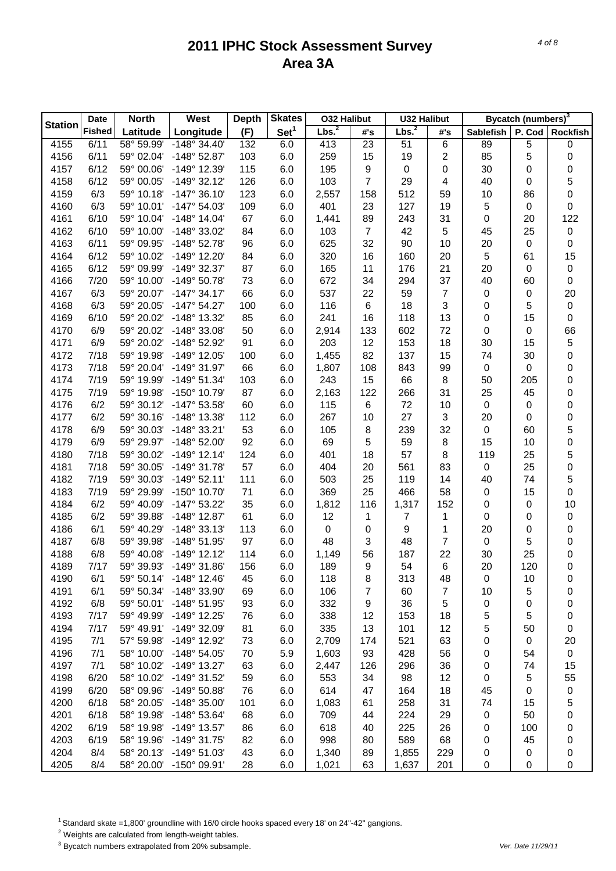|                | <b>Date</b>   | <b>North</b>             | West                    | <b>Depth</b> | <b>Skates</b>    | <b>032 Halibut</b> |         | <b>U32 Halibut</b> |                |           | Bycatch (numbers) <sup>3</sup> |                  |
|----------------|---------------|--------------------------|-------------------------|--------------|------------------|--------------------|---------|--------------------|----------------|-----------|--------------------------------|------------------|
| <b>Station</b> | <b>Fished</b> | Latitude                 | Longitude               | (F)          | Set <sup>1</sup> | Lbs. <sup>2</sup>  | #'s     | Lbs. <sup>2</sup>  | #'s            | Sablefish | P. Cod                         | <b>Rockfish</b>  |
| 4155           | 6/11          | 58° 59.99'               | $-148°34.40'$           | 132          | 6.0              | 413                | 23      | 51                 | 6              | 89        | 5                              | $\boldsymbol{0}$ |
| 4156           | 6/11          | 59° 02.04'               | $-148°52.87'$           | 103          | 6.0              | 259                | 15      | 19                 | $\overline{2}$ | 85        | 5                              | 0                |
| 4157           | 6/12          | 59° 00.06'               | -149° 12.39'            | 115          | 6.0              | 195                | 9       | $\boldsymbol{0}$   | $\pmb{0}$      | 30        | 0                              | 0                |
| 4158           | 6/12          | 59° 00.05'               | $-149°32.12'$           | 126          | 6.0              | 103                | 7       | 29                 | 4              | 40        | 0                              | 5                |
| 4159           | 6/3           | 59° 10.18'               | $-147°36.10'$           | 123          | 6.0              | 2,557              | 158     | 512                | 59             | 10        | 86                             | 0                |
| 4160           | 6/3           | 59° 10.01'               | $-147°54.03'$           | 109          | 6.0              | 401                | 23      | 127                | 19             | 5         | 0                              | 0                |
| 4161           | 6/10          | 59° 10.04'               | $-148°$ 14.04'          | 67           | 6.0              | 1,441              | 89      | 243                | 31             | 0         | 20                             | 122              |
| 4162           | 6/10          | 59° 10.00'               | -148° 33.02'            | 84           | 6.0              | 103                | 7       | 42                 | 5              | 45        | 25                             | $\pmb{0}$        |
| 4163           | 6/11          | 59° 09.95'               | $-148°52.78'$           | 96           | 6.0              | 625                | 32      | 90                 | 10             | 20        | 0                              | $\pmb{0}$        |
| 4164           | 6/12          | 59° 10.02'               | $-149°$ 12.20'          | 84           | 6.0              | 320                | 16      | 160                | 20             | 5         | 61                             | 15               |
| 4165           | 6/12          | 59° 09.99'               | $-149°32.37'$           | 87           | 6.0              | 165                | 11      | 176                | 21             | 20        | 0                              | $\pmb{0}$        |
| 4166           | 7/20          | 59° 10.00'               | $-149°$ 50.78'          | 73           | 6.0              | 672                | 34      | 294                | 37             | 40        | 60                             | $\boldsymbol{0}$ |
| 4167           | 6/3           | 59° 20.07'               | $-147^{\circ}$ 34.17    | 66           | 6.0              | 537                | 22      | 59                 | $\overline{7}$ | 0         | 0                              | 20               |
| 4168           | 6/3           | 59° 20.05'               | $-147^{\circ} 54.27'$   | 100          | 6.0              | 116                | 6       | 18                 | 3              | 0         | 5                              | $\pmb{0}$        |
| 4169           | 6/10          | 59° 20.02'               | $-148^\circ$ 13.32      | 85           | 6.0              | 241                | 16      | 118                | 13             | 0         | 15                             | $\boldsymbol{0}$ |
| 4170           | 6/9           | 59° 20.02'               | $-148°33.08'$           | 50           | 6.0              | 2,914              | 133     | 602                | 72             | 0         | 0                              | 66               |
| 4171           | 6/9           | 59° 20.02'               | -148° 52.92'            | 91           | 6.0              | 203                | 12      | 153                | 18             | 30        | 15                             | 5                |
| 4172           | 7/18          | 59° 19.98'               | $-149°$ 12.05'          | 100          | 6.0              | 1,455              | 82      | 137                | 15             | 74        | 30                             | 0                |
| 4173           | 7/18          | 59° 20.04'               | $-149°31.97'$           | 66           | 6.0              | 1,807              | 108     | 843                | 99             | $\pmb{0}$ | 0                              | 0                |
| 4174           | 7/19          | 59° 19.99'               | $-149°51.34'$           | 103          | 6.0              | 243                | 15      | 66                 | 8              | 50        | 205                            | 0                |
| 4175           | 7/19          | 59° 19.98'               | -150° 10.79'            | 87           | 6.0              | 2,163              | 122     | 266                | 31             | 25        | 45                             | 0                |
| 4176           | 6/2           | 59° 30.12'               | $-147^{\circ}$ 53.58'   | 60           | 6.0              | 115                | 6       | 72                 | 10             | $\pmb{0}$ | 0                              | 0                |
| 4177           | 6/2           | 59° 30.16'               | $-148^\circ$ 13.38'     | 112          | 6.0              | 267                | 10      | 27                 | 3              | 20        | 0                              | 0                |
| 4178           | 6/9           | 59° 30.03'               | $-148°33.21'$           | 53           | 6.0              | 105                | 8       | 239                | 32             | $\pmb{0}$ | 60                             | 5                |
| 4179           | 6/9           | 59° 29.97'               | $-148^{\circ}$ 52.00    | 92           | 6.0              | 69                 | 5       | 59                 | 8              | 15        | 10                             | 0                |
| 4180           | 7/18          | 59° 30.02'               | $-149°$ 12.14           | 124          | 6.0              | 401                | 18      | 57                 | 8              | 119       | 25                             | 5                |
| 4181           | 7/18          | 59° 30.05'               | $-149°31.78'$           | 57           | 6.0              | 404                | 20      | 561                | 83             | 0         | 25                             | 0                |
| 4182           | 7/19          | 59° 30.03'               | $-149°52.11'$           | 111          | 6.0              | 503                | 25      | 119                | 14             | 40        | 74                             | 5                |
| 4183           | 7/19          | 59° 29.99'               | -150° 10.70'            | 71           | 6.0              | 369                | 25      | 466                | 58             | 0         | 15                             | 0                |
| 4184           | 6/2           | 59° 40.09'               | $-147°53.22'$           | 35           | 6.0              | 1,812              | 116     | 1,317              | 152            | 0         | 0                              | 10               |
| 4185           | 6/2           | 59° 39.88'               | $-148°$ 12.87           | 61           | 6.0              | 12                 | 1       | $\overline{7}$     | 1              | $\pmb{0}$ | 0                              | $\pmb{0}$        |
| 4186           | 6/1           | 59° 40.29'               | $-148°33.13'$           | 113          | 6.0              | 0                  | 0       | 9                  | 1              | 20        | 0                              | 0                |
| 4187           | 6/8           | 59° 39.98'               | $-148°51.95'$           | 97           | 6.0              | 48                 | 3       | 48                 | 7              | $\pmb{0}$ | 5                              |                  |
| 4188           | 6/8           | 59° 40.08'               | $-149°$ 12.12           | 114          | 6.0              | 1,149              | 56      | 187                | 22             | 30        | 25                             | 0                |
| 4189           | 7/17          | 59° 39.93'               | $-149°31.86'$           | 156          | 6.0              | 189                | 9       | 54                 | 6              | 20        | 120                            | 0<br>$\mathbf 0$ |
| 4190           | 6/1           | 59° 50.14'               | $-148^\circ$ 12.46      | 45           | 6.0              | 118                |         | 313                |                | 0         |                                |                  |
| 4191           | 6/1           | 59° 50.34'               | -148° 33.90'            | 69           | 6.0              | 106                | 8<br>7  | 60                 | 48<br>7        | 10        | 10                             | 0                |
| 4192           | 6/8           | 59° 50.01'               | $-148°51.95'$           | 93           | 6.0              | 332                |         | 36                 | 5              |           | 5                              | 0                |
| 4193           | 7/17          | 59° 49.99'               | $-149^{\circ}$ 12.25'   | 76           | 6.0              | 338                | 9<br>12 | 153                | 18             | 0         | 0                              | 0                |
| 4194           | 7/17          | 59° 49.91'               | -149° 32.09'            | 81           | 6.0              | 335                | 13      | 101                | 12             | 5         | 5<br>50                        | 0<br>0           |
| 4195           | 7/1           | 57° 59.98'               | -149° 12.92'            | 73           |                  |                    |         | 521                | 63             | 5         |                                |                  |
|                | 7/1           | 58° 10.00'               | $-148^{\circ} 54.05'$   |              | 6.0              | 2,709              | 174     | 428                |                | 0         | 0                              | 20               |
| 4196           |               | 58° 10.02'               |                         | 70           | 5.9              | 1,603              | 93      |                    | 56             | 0         | 54                             | $\pmb{0}$        |
| 4197           | 7/1           |                          | $-149°$ 13.27'          | 63           | 6.0              | 2,447              | 126     | 296                | 36             | 0         | 74                             | 15               |
| 4198           | 6/20          | 58° 10.02'<br>58° 09.96' | $-149°31.52'$           | 59           | 6.0              | 553                | 34      | 98                 | 12             | 0         | 5                              | 55               |
| 4199           | 6/20          |                          | $-149°50.88'$           | 76           | 6.0              | 614                | 47      | 164                | 18             | 45        | 0                              | $\pmb{0}$        |
| 4200           | 6/18          | 58° 20.05'               | $-148°35.00'$           | 101          | 6.0              | 1,083              | 61      | 258                | 31             | 74        | 15                             | 5                |
| 4201           | 6/18          | 58° 19.98'               | $-148°53.64'$           | 68           | 6.0              | 709                | 44      | 224                | 29             | 0         | 50                             | 0                |
| 4202           | 6/19          | 58° 19.98'               | $-149°$ 13.57'          | 86           | 6.0              | 618                | 40      | 225                | 26             | 0         | 100                            | 0                |
| 4203           | 6/19          | 58° 19.96'               | $-149°31.75'$           | 82           | 6.0              | 998                | 80      | 589                | 68             | 0         | 45                             | 0                |
| 4204           | 8/4           | 58° 20.13'               | $-149°51.03'$           | 43           | 6.0              | 1,340              | 89      | 1,855              | 229            | 0         | 0                              | 0                |
| 4205           | 8/4           |                          | 58° 20.00' -150° 09.91' | 28           | 6.0              | 1,021              | 63      | 1,637              | 201            | $\pmb{0}$ | 0                              | 0                |

<sup>1</sup> Standard skate =1,800' groundline with 16/0 circle hooks spaced every 18' on 24"-42" gangions.

2 Weights are calculated from length-weight tables.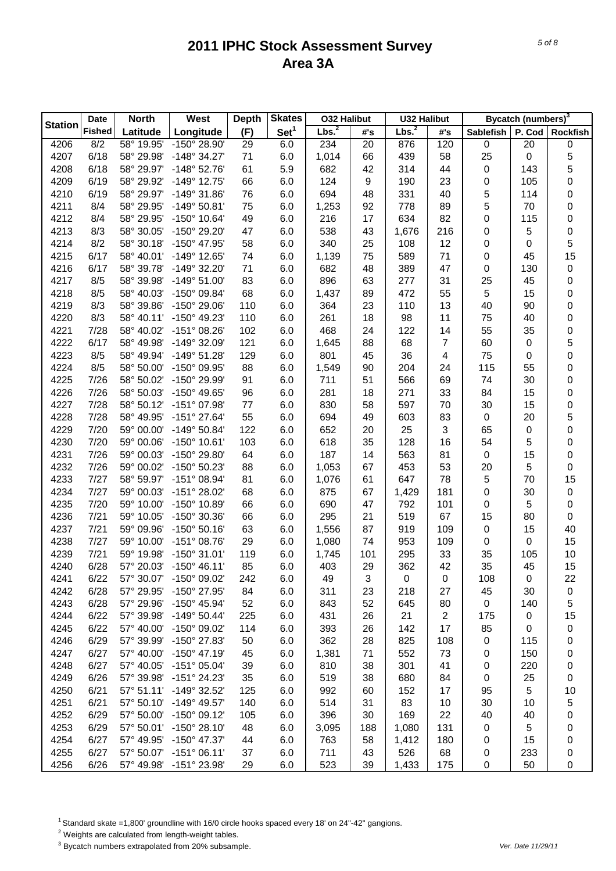|                | <b>Date</b>   | <b>North</b>        | West                    | <b>Depth</b> | <b>Skates</b>    | <b>032 Halibut</b> |     | <b>U32 Halibut</b> |                         |                  | Bycatch (numbers) <sup>3</sup> |                  |
|----------------|---------------|---------------------|-------------------------|--------------|------------------|--------------------|-----|--------------------|-------------------------|------------------|--------------------------------|------------------|
| <b>Station</b> | <b>Fished</b> | Latitude            | Longitude               | (F)          | Set <sup>1</sup> | Lbs. <sup>2</sup>  | #'s | Lbs. <sup>2</sup>  | #'s                     | <b>Sablefish</b> | P. Cod                         | <b>Rockfish</b>  |
| 4206           | 8/2           | 58° 19.95'          | -150° 28.90'            | 29           | 6.0              | 234                | 20  | 876                | 120                     | $\pmb{0}$        | 20                             | $\pmb{0}$        |
| 4207           | 6/18          | 58° 29.98'          | $-148°34.27'$           | 71           | 6.0              | 1,014              | 66  | 439                | 58                      | 25               | 0                              | 5                |
| 4208           | 6/18          | 58° 29.97'          | $-148°52.76'$           | 61           | 5.9              | 682                | 42  | 314                | 44                      | $\pmb{0}$        | 143                            | 5                |
| 4209           | 6/19          | 58° 29.92'          | -149° 12.75'            | 66           | 6.0              | 124                | 9   | 190                | 23                      | 0                | 105                            | 0                |
| 4210           | 6/19          | 58° 29.97'          | $-149°31.86'$           | 76           | 6.0              | 694                | 48  | 331                | 40                      | 5                | 114                            | 0                |
| 4211           | 8/4           | 58° 29.95'          | $-149°50.81'$           | 75           | 6.0              | 1,253              | 92  | 778                | 89                      | 5                | 70                             | 0                |
| 4212           | 8/4           | 58° 29.95'          | $-150^{\circ}$ 10.64'   | 49           | 6.0              | 216                | 17  | 634                | 82                      | 0                | 115                            | 0                |
| 4213           | 8/3           | 58° 30.05'          | -150° 29.20'            | 47           | 6.0              | 538                | 43  | 1,676              | 216                     | 0                | 5                              | 0                |
| 4214           | 8/2           | 58° 30.18'          | -150° 47.95'            | 58           | 6.0              | 340                | 25  | 108                | 12                      | 0                | 0                              | 5                |
| 4215           | 6/17          | 58° 40.01'          | -149° 12.65'            | 74           | 6.0              | 1,139              | 75  | 589                | 71                      | 0                | 45                             | 15               |
| 4216           | 6/17          | 58° 39.78'          | -149° 32.20'            | 71           | 6.0              | 682                | 48  | 389                | 47                      | 0                | 130                            | $\pmb{0}$        |
| 4217           | 8/5           | 58° 39.98'          | $-149°51.00'$           | 83           | 6.0              | 896                | 63  | 277                | 31                      | 25               | 45                             | 0                |
| 4218           | 8/5           | 58° 40.03'          | -150° 09.84'            | 68           | 6.0              | 1,437              | 89  | 472                | 55                      | $\sqrt{5}$       | 15                             | 0                |
| 4219           | 8/3           | 58° 39.86'          | -150° 29.06'            | 110          | 6.0              | 364                | 23  | 110                | 13                      | 40               | 90                             | 0                |
| 4220           | 8/3           | 58° 40.11'          | -150° 49.23'            | 110          | 6.0              | 261                | 18  | 98                 | 11                      | 75               | 40                             | 0                |
| 4221           | 7/28          | 58° 40.02'          | -151° 08.26'            | 102          | 6.0              | 468                | 24  | 122                | 14                      | 55               | 35                             | $\mathbf 0$      |
| 4222           | 6/17          | 58° 49.98'          | -149° 32.09'            | 121          | 6.0              | 1,645              | 88  | 68                 | $\overline{7}$          | 60               | 0                              | 5                |
| 4223           | 8/5           | 58° 49.94'          | $-149°51.28'$           | 129          | 6.0              | 801                | 45  | 36                 | $\overline{\mathbf{4}}$ | 75               | 0                              | 0                |
| 4224           | 8/5           | 58° 50.00'          | -150° 09.95'            | 88           | 6.0              | 1,549              | 90  | 204                | 24                      | 115              | 55                             | 0                |
| 4225           | 7/26          | 58° 50.02'          | -150° 29.99'            | 91           | 6.0              | 711                | 51  | 566                | 69                      | 74               | 30                             | 0                |
| 4226           | 7/26          | 58° 50.03'          | -150° 49.65'            | 96           | 6.0              | 281                | 18  | 271                | 33                      | 84               | 15                             | 0                |
| 4227           | 7/28          | 58° 50.12'          | -151° 07.98'            | 77           | 6.0              | 830                | 58  | 597                | 70                      | 30               | 15                             | 0                |
| 4228           | 7/28          | 58° 49.95'          | $-151^{\circ}$ 27.64'   | 55           | 6.0              | 694                | 49  | 603                | 83                      | 0                | 20                             | 5                |
| 4229           | 7/20          | 59° 00.00'          | $-149°50.84'$           | 122          | 6.0              | 652                | 20  | 25                 | 3                       | 65               | 0                              | 0                |
| 4230           | 7/20          | 59° 00.06'          | $-150^{\circ}$ 10.61'   | 103          | 6.0              | 618                | 35  | 128                | 16                      | 54               | 5                              | 0                |
| 4231           | 7/26          | 59° 00.03'          | -150° 29.80'            | 64           | 6.0              | 187                | 14  | 563                | 81                      | $\pmb{0}$        | 15                             | 0                |
| 4232           | 7/26          | 59° 00.02'          | -150° 50.23'            | 88           | 6.0              | 1,053              | 67  | 453                | 53                      | 20               | 5                              | 0                |
| 4233           | 7/27          | 58° 59.97'          | -151° 08.94'            | 81           | 6.0              | 1,076              | 61  | 647                | 78                      | 5                | 70                             | 15               |
| 4234           | 7/27          | 59° 00.03'          | -151° 28.02'            | 68           | 6.0              | 875                | 67  | 1,429              | 181                     | 0                | 30                             | $\pmb{0}$        |
| 4235           | 7/20          | 59° 10.00'          | -150° 10.89'            | 66           | 6.0              | 690                | 47  | 792                | 101                     | 0                | 5                              | $\pmb{0}$        |
| 4236           | 7/21          | 59° 10.05'          | -150° 30.36'            | 66           | 6.0              | 295                | 21  | 519                | 67                      | 15               | 80                             | $\boldsymbol{0}$ |
| 4237           | 7/21          | 59° 09.96'          | $-150^{\circ} 50.16'$   | 63           |                  |                    | 87  | 919                | 109                     | $\pmb{0}$        | 15                             | 40               |
| 4238           | 7/27          |                     | $-151^{\circ}$ 08.76'   |              | 6.0              | 1,556              |     |                    |                         |                  |                                |                  |
|                | 7/21          | 59° 10.00'          |                         | 29           | 6.0              | 1,080              | 74  | 953                | 109                     | 0                | 0                              | 15               |
| 4239           |               | 59° 19.98'          | $-150^{\circ}$ 31.01'   | 119          | 6.0              | 1,745              | 101 | 295                | 33                      | 35               | 105                            | $10$             |
| 4240           | 6/28          | 57° 20.03'          | $-150^{\circ}$ 46.11'   | 85           | 6.0              | 403                | 29  | 362                | 42                      | 35               | 45                             | 15               |
| 4241           | 6/22          | 57° 30.07'          | -150° 09.02'            | 242          | 6.0              | 49                 | 3   | 0                  | 0                       | 108              | 0                              | 22               |
| 4242           | 6/28          | 57° 29.95'          | -150° 27.95'            | 84           | 6.0              | 311                | 23  | 218                | 27                      | 45               | 30                             | $\pmb{0}$        |
| 4243           | 6/28          | 57° 29.96'          | $-150^{\circ}$ 45.94'   | 52           | 6.0              | 843                | 52  | 645                | 80                      | $\mathbf 0$      | 140                            | 5                |
| 4244           | 6/22          | 57° 39.98'          | $-149°50.44'$           | 225          | 6.0              | 431                | 26  | 21                 | $\overline{2}$          | 175              | 0                              | 15               |
| 4245           | 6/22          | 57° 40.00'          | -150° 09.02'            | 114          | 6.0              | 393                | 26  | 142                | 17                      | 85               | 0                              | 0                |
| 4246           | 6/29          | 57° 39.99'          | -150° 27.83'            | 50           | 6.0              | 362                | 28  | 825                | 108                     | 0                | 115                            | 0                |
| 4247           | 6/27          | 57° 40.00'          | $-150^{\circ}$ 47.19'   | 45           | 6.0              | 1,381              | 71  | 552                | 73                      | 0                | 150                            | 0                |
| 4248           | 6/27          | 57° 40.05'          | -151° 05.04'            | 39           | 6.0              | 810                | 38  | 301                | 41                      | 0                | 220                            | 0                |
| 4249           | 6/26          | 57° 39.98'          | -151° 24.23'            | 35           | 6.0              | 519                | 38  | 680                | 84                      | 0                | 25                             | 0                |
| 4250           | 6/21          | $57^{\circ} 51.11'$ | -149° 32.52'            | 125          | 6.0              | 992                | 60  | 152                | 17                      | 95               | 5                              | 10               |
| 4251           | 6/21          | 57° 50.10'          | -149° 49.57'            | 140          | 6.0              | 514                | 31  | 83                 | 10                      | 30               | 10                             | 5                |
| 4252           | 6/29          | 57° 50.00'          | -150° 09.12'            | 105          | 6.0              | 396                | 30  | 169                | 22                      | 40               | 40                             | 0                |
| 4253           | 6/29          | 57° 50.01'          | $-150^{\circ}$ 28.10'   | 48           | 6.0              | 3,095              | 188 | 1,080              | 131                     | 0                | 5                              | 0                |
| 4254           | 6/27          | 57° 49.95'          | -150° 47.37'            | 44           | 6.0              | 763                | 58  | 1,412              | 180                     | 0                | 15                             | 0                |
| 4255           | 6/27          | 57° 50.07'          | $-151°06.11'$           | 37           | 6.0              | 711                | 43  | 526                | 68                      | 0                | 233                            | 0                |
| 4256           | 6/26          |                     | 57° 49.98' -151° 23.98' | 29           | 6.0              | 523                | 39  | 1,433              | 175                     | 0                | 50                             | 0                |

<sup>1</sup> Standard skate =1,800' groundline with 16/0 circle hooks spaced every 18' on 24"-42" gangions.

2 Weights are calculated from length-weight tables.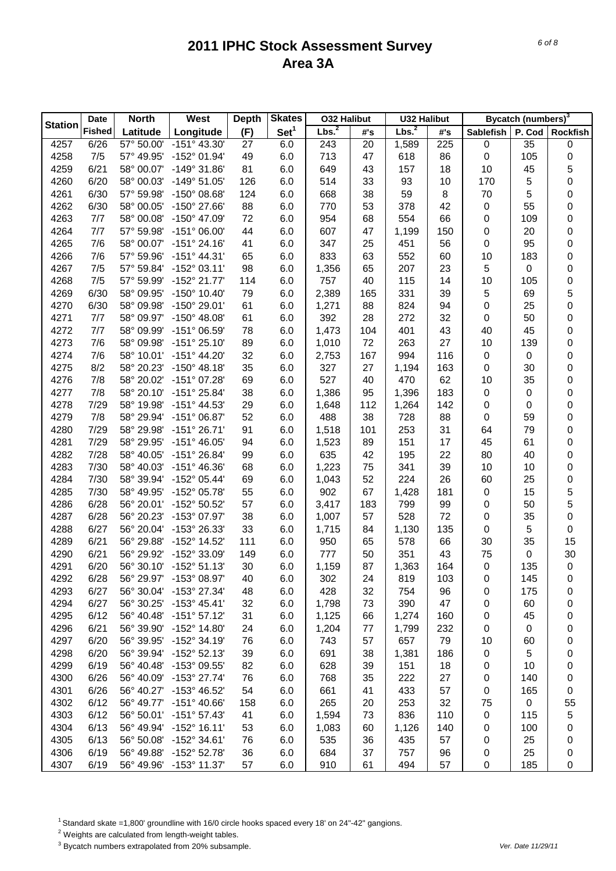|                | <b>Date</b>   | <b>North</b> | West                  | <b>Depth</b> | <b>Skates</b>    | <b>032 Halibut</b> |     | <b>U32 Halibut</b> |     |                  | Bycatch (numbers) <sup>3</sup> |                  |
|----------------|---------------|--------------|-----------------------|--------------|------------------|--------------------|-----|--------------------|-----|------------------|--------------------------------|------------------|
| <b>Station</b> | <b>Fished</b> | Latitude     | Longitude             | (F)          | Set <sup>1</sup> | Lbs. <sup>2</sup>  | #'s | Lbs. <sup>2</sup>  | #'s | Sablefish        | P. Cod                         | <b>Rockfish</b>  |
| 4257           | 6/26          | 57° 50.00'   | $-151^{\circ}$ 43.30' | 27           | 6.0              | 243                | 20  | 1,589              | 225 | 0                | 35                             | $\boldsymbol{0}$ |
| 4258           | 7/5           | 57° 49.95'   | -152° 01.94'          | 49           | 6.0              | 713                | 47  | 618                | 86  | $\boldsymbol{0}$ | 105                            | $\pmb{0}$        |
| 4259           | 6/21          | 58° 00.07'   | $-149°31.86'$         | 81           | 6.0              | 649                | 43  | 157                | 18  | 10               | 45                             | 5                |
| 4260           | 6/20          | 58° 00.03'   | $-149°51.05'$         | 126          | 6.0              | 514                | 33  | 93                 | 10  | 170              | 5                              | 0                |
| 4261           | 6/30          | 57° 59.98'   | $-150^{\circ}$ 08.68' | 124          | 6.0              | 668                | 38  | 59                 | 8   | 70               | 5                              | 0                |
| 4262           | 6/30          | 58° 00.05'   | $-150^{\circ}$ 27.66  | 88           | 6.0              | 770                | 53  | 378                | 42  | 0                | 55                             | 0                |
| 4263           | 7/7           | 58° 00.08'   | -150° 47.09'          | 72           | 6.0              | 954                | 68  | 554                | 66  | 0                | 109                            | 0                |
| 4264           | 7/7           | 57° 59.98'   | $-151^{\circ}$ 06.00  | 44           | 6.0              | 607                | 47  | 1,199              | 150 | 0                | 20                             | 0                |
| 4265           | 7/6           | 58° 00.07'   | $-151^{\circ} 24.16'$ | 41           | 6.0              | 347                | 25  | 451                | 56  | $\boldsymbol{0}$ | 95                             | 0                |
| 4266           | 7/6           | 57° 59.96'   | $-151^{\circ}$ 44.31' | 65           | 6.0              | 833                | 63  | 552                | 60  | 10               | 183                            | 0                |
| 4267           | 7/5           | 57° 59.84'   | $-152^{\circ}$ 03.11' | 98           | 6.0              | 1,356              | 65  | 207                | 23  | 5                | 0                              | 0                |
| 4268           | 7/5           | 57° 59.99'   | -152° 21.77'          | 114          | 6.0              | 757                | 40  | 115                | 14  | 10               | 105                            | 0                |
| 4269           | 6/30          | 58° 09.95'   | $-150^{\circ}$ 10.40' | 79           | 6.0              | 2,389              | 165 | 331                | 39  | 5                | 69                             | 5                |
| 4270           | 6/30          | 58° 09.98'   | -150° 29.01'          | 61           | 6.0              | 1,271              | 88  | 824                | 94  | 0                | 25                             | $\mathbf 0$      |
| 4271           | 7/7           | 58° 09.97'   | $-150^{\circ}$ 48.08' | 61           | 6.0              | 392                | 28  | 272                | 32  | 0                | 50                             | 0                |
| 4272           | 7/7           | 58° 09.99'   | -151° 06.59'          | 78           | 6.0              | 1,473              | 104 | 401                | 43  | 40               | 45                             | 0                |
| 4273           | 7/6           | 58° 09.98'   | $-151^{\circ} 25.10'$ | 89           | 6.0              | 1,010              | 72  | 263                | 27  | 10               | 139                            | 0                |
| 4274           | 7/6           | 58° 10.01'   | $-151^{\circ}$ 44.20  | 32           | 6.0              | 2,753              | 167 | 994                | 116 | 0                | 0                              | 0                |
| 4275           | 8/2           | 58° 20.23'   | $-150^{\circ}$ 48.18' | 35           | 6.0              | 327                | 27  | 1,194              | 163 | 0                | 30                             | 0                |
| 4276           | 7/8           | 58° 20.02'   | $-151^{\circ}$ 07.28' | 69           | 6.0              | 527                | 40  | 470                | 62  | 10               | 35                             | 0                |
| 4277           | 7/8           | 58° 20.10'   | $-151^{\circ} 25.84'$ | 38           | 6.0              | 1,386              | 95  | 1,396              | 183 | 0                | 0                              | 0                |
| 4278           | 7/29          | 58° 19.98'   | -151° 44.53'          | 29           | 6.0              | 1,648              | 112 | 1,264              | 142 | 0                | 0                              | 0                |
| 4279           | 7/8           | 58° 29.94'   | $-151^{\circ}$ 06.87' | 52           | 6.0              | 488                | 38  | 728                | 88  | 0                | 59                             | 0                |
| 4280           | 7/29          | 58° 29.98'   | $-151^{\circ} 26.71'$ | 91           | 6.0              | 1,518              | 101 | 253                | 31  | 64               | 79                             | 0                |
| 4281           | 7/29          | 58° 29.95'   | $-151^{\circ}$ 46.05' | 94           | 6.0              | 1,523              | 89  | 151                | 17  | 45               | 61                             | 0                |
| 4282           | 7/28          | 58° 40.05'   | -151° 26.84'          | 99           | 6.0              | 635                | 42  | 195                | 22  | 80               | 40                             | 0                |
| 4283           | 7/30          | 58° 40.03'   | $-151^{\circ}$ 46.36' | 68           | 6.0              | 1,223              | 75  | 341                | 39  | 10               | 10                             | 0                |
| 4284           | 7/30          | 58° 39.94'   | -152° 05.44'          | 69           | 6.0              | 1,043              | 52  | 224                | 26  | 60               | 25                             | 0                |
| 4285           | 7/30          | 58° 49.95'   | -152° 05.78'          | 55           | 6.0              | 902                | 67  | 1,428              | 181 | 0                | 15                             | 5                |
| 4286           | 6/28          | 56° 20.01'   | -152° 50.52'          | 57           | 6.0              | 3,417              | 183 | 799                | 99  | 0                | 50                             | 5                |
| 4287           | 6/28          | 56° 20.23'   | -153° 07.97'          | 38           | 6.0              | 1,007              | 57  | 528                | 72  | 0                | 35                             | 0                |
| 4288           | 6/27          | 56° 20.04'   | -153° 26.33'          | 33           | 6.0              | 1,715              | 84  | 1,130              | 135 | 0                | 5                              | 0                |
| 4289           | 6/21          | 56° 29.88'   | -152° 14.52'          | 111          | 6.0              | 950                | 65  | 578                | 66  | 30               | 35                             | 15               |
| 4290           | 6/21          | 56° 29.92'   | -152° 33.09'          | 149          | 6.0              | 777                | 50  | 351                | 43  | 75               | 0                              | 30               |
| 4291           | 6/20          | 56° 30.10'   | $-152^{\circ} 51.13'$ | 30           | 6.0              | 1,159              | 87  | 1,363              | 164 | $\pmb{0}$        | 135                            | $\pmb{0}$        |
| 4292           | 6/28          | 56° 29.97'   | -153° 08.97'          | 40           | 6.0              | 302                | 24  | 819                | 103 | 0                | 145                            | 0                |
| 4293           | 6/27          | 56° 30.04'   | -153° 27.34'          | 48           | 6.0              | 428                | 32  | 754                | 96  | 0                | 175                            | 0                |
| 4294           | 6/27          | 56° 30.25'   | $-153^{\circ}$ 45.41' | 32           | 6.0              | 1,798              | 73  | 390                | 47  | 0                | 60                             | 0                |
| 4295           | 6/12          | 56° 40.48'   | $-151°57.12'$         | 31           | 6.0              | 1,125              | 66  | 1,274              | 160 | 0                | 45                             | 0                |
| 4296           | 6/21          | 56° 39.90'   | -152° 14.80'          | 24           | 6.0              | 1,204              | 77  | 1,799              | 232 | 0                | 0                              | 0                |
| 4297           | 6/20          | 56° 39.95'   | -152° 34.19'          | 76           | 6.0              | 743                | 57  | 657                | 79  | 10               | 60                             | 0                |
| 4298           | 6/20          | 56° 39.94'   | $-152^{\circ}52.13'$  | 39           | 6.0              | 691                | 38  | 1,381              | 186 | 0                | 5                              | 0                |
| 4299           | 6/19          | 56° 40.48'   | -153° 09.55'          | 82           | 6.0              | 628                | 39  | 151                | 18  | 0                | 10                             | 0                |
| 4300           | 6/26          | 56° 40.09'   | -153° 27.74'          | 76           | 6.0              | 768                | 35  | 222                | 27  | 0                | 140                            | 0                |
| 4301           | 6/26          | 56° 40.27'   | $-153^{\circ}$ 46.52  | 54           | 6.0              | 661                | 41  | 433                | 57  | 0                | 165                            | 0                |
| 4302           | 6/12          | 56° 49.77'   | $-151^{\circ}$ 40.66  | 158          | 6.0              | 265                | 20  | 253                | 32  | 75               | 0                              | 55               |
| 4303           | 6/12          | 56° 50.01'   | $-151°57.43'$         | 41           | 6.0              | 1,594              | 73  | 836                | 110 | 0                | 115                            | 5                |
| 4304           | 6/13          | 56° 49.94'   | $-152^{\circ}$ 16.11' | 53           | 6.0              | 1,083              | 60  | 1,126              | 140 | 0                | 100                            | 0                |
| 4305           | 6/13          | 56° 50.08'   | -152° 34.61'          | 76           | 6.0              | 535                | 36  | 435                | 57  | 0                | 25                             | 0                |
| 4306           | 6/19          | 56° 49.88'   | -152° 52.78'          | 36           | 6.0              | 684                | 37  | 757                | 96  | 0                | 25                             | 0                |
| 4307           | 6/19          | 56° 49.96'   | $-153^{\circ}$ 11.37' | 57           | 6.0              | 910                | 61  | 494                | 57  | 0                | 185                            | 0                |

<sup>1</sup> Standard skate =1,800' groundline with 16/0 circle hooks spaced every 18' on 24"-42" gangions.

2 Weights are calculated from length-weight tables.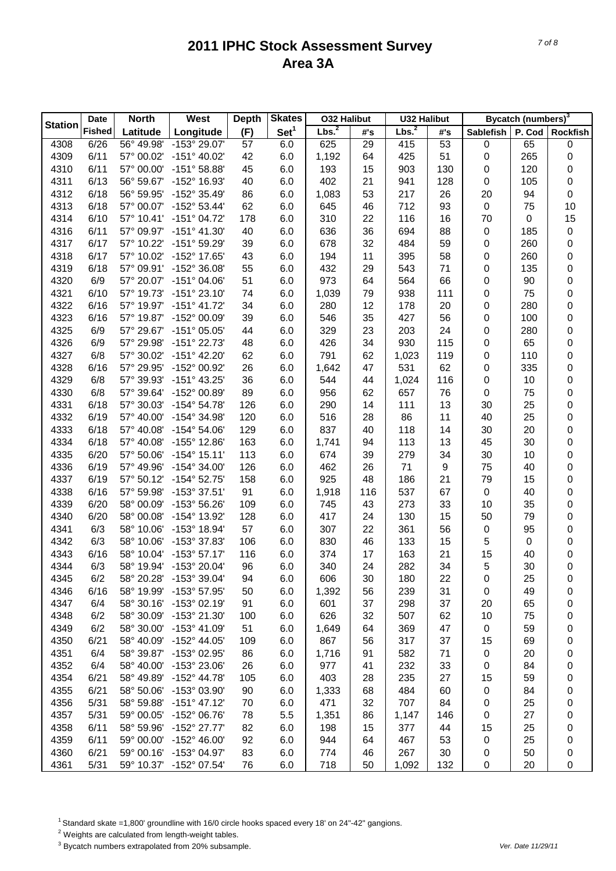|                | <b>Date</b>   | <b>North</b> | West                    | <b>Depth</b> | <b>Skates</b>    | <b>032 Halibut</b> |          | <b>U32 Halibut</b> |     | <b>Bycatch (numbers)</b> <sup>3</sup> |        |                 |
|----------------|---------------|--------------|-------------------------|--------------|------------------|--------------------|----------|--------------------|-----|---------------------------------------|--------|-----------------|
| <b>Station</b> | <b>Fished</b> | Latitude     | Longitude               | (F)          | Set <sup>1</sup> | Lbs. <sup>2</sup>  | #'s      | Lbs. <sup>2</sup>  | #'s | Sablefish                             | P. Cod | <b>Rockfish</b> |
| 4308           | 6/26          | 56° 49.98'   | -153° 29.07'            | 57           | 6.0              | 625                | 29       | 415                | 53  | 0                                     | 65     | 0               |
| 4309           | 6/11          | 57° 00.02'   | -151° 40.02'            | 42           | 6.0              | 1,192              | 64       | 425                | 51  | $\pmb{0}$                             | 265    | 0               |
| 4310           | 6/11          | 57° 00.00'   | $-151^{\circ}58.88'$    | 45           | 6.0              | 193                | 15       | 903                | 130 | 0                                     | 120    | 0               |
| 4311           | 6/13          | 56° 59.67'   | -152° 16.93'            | 40           | 6.0              | 402                | 21       | 941                | 128 | 0                                     | 105    | 0               |
| 4312           | 6/18          | 56° 59.95'   | -152° 35.49'            | 86           | 6.0              | 1,083              | 53       | 217                | 26  | 20                                    | 94     | 0               |
| 4313           | 6/18          | 57° 00.07'   | -152° 53.44'            | 62           | 6.0              | 645                | 46       | 712                | 93  | $\boldsymbol{0}$                      | 75     | 10              |
| 4314           | 6/10          | 57° 10.41'   | $-151^{\circ}$ 04.72'   | 178          | 6.0              | 310                | 22       | 116                | 16  | 70                                    | 0      | 15              |
| 4316           | 6/11          | 57° 09.97'   | $-151^{\circ}$ 41.30    | 40           | 6.0              | 636                | 36       | 694                | 88  | 0                                     | 185    | $\pmb{0}$       |
| 4317           | 6/17          | 57° 10.22'   | -151° 59.29'            | 39           | 6.0              | 678                | 32       | 484                | 59  | 0                                     | 260    | 0               |
| 4318           | 6/17          | 57° 10.02'   | -152° 17.65'            | 43           | 6.0              | 194                | 11       | 395                | 58  | 0                                     | 260    | 0               |
| 4319           | 6/18          | 57° 09.91'   | -152° 36.08'            | 55           | 6.0              | 432                | 29       | 543                | 71  | 0                                     | 135    | 0               |
| 4320           | 6/9           | 57° 20.07'   | -151° 04.06'            | 51           | 6.0              | 973                | 64       | 564                | 66  | 0                                     | 90     | 0               |
| 4321           | 6/10          | 57° 19.73'   | $-151°$ 23.10'          | 74           | 6.0              | 1,039              | 79       | 938                | 111 | 0                                     | 75     | 0               |
| 4322           | 6/16          | 57° 19.97'   | $-151^{\circ}$ 41.72    | 34           | 6.0              | 280                | 12       | 178                | 20  | 0                                     | 280    | 0               |
| 4323           | 6/16          | 57° 19.87'   | -152° 00.09'            | 39           | 6.0              | 546                | 35       | 427                | 56  | 0                                     | 100    | 0               |
| 4325           | 6/9           | 57° 29.67'   | -151° 05.05'            | 44           | 6.0              | 329                | 23       | 203                | 24  | 0                                     | 280    | 0               |
| 4326           | 6/9           | 57° 29.98'   | $-151°$ 22.73'          | 48           | 6.0              | 426                | 34       | 930                | 115 | 0                                     | 65     | 0               |
| 4327           | 6/8           | 57° 30.02'   | -151° 42.20'            | 62           | 6.0              | 791                | 62       | 1,023              | 119 | 0                                     | 110    | $\mathbf 0$     |
| 4328           | 6/16          | 57° 29.95'   | -152° 00.92'            | 26           | 6.0              | 1,642              | 47       | 531                | 62  | 0                                     | 335    | 0               |
| 4329           | 6/8           | 57° 39.93'   | $-151^{\circ}$ 43.25'   | 36           | 6.0              | 544                | 44       | 1,024              | 116 | 0                                     | 10     | 0               |
| 4330           | 6/8           | 57° 39.64'   | -152° 00.89'            | 89           | 6.0              | 956                | 62       | 657                | 76  | $\boldsymbol{0}$                      | 75     | 0               |
| 4331           | 6/18          | 57° 30.03'   | $-154^{\circ} 54.78'$   | 126          | 6.0              | 290                | 14       | 111                | 13  | 30                                    | 25     | 0               |
| 4332           | 6/19          | 57° 40.00'   | -154° 34.98'            | 120          | 6.0              | 516                | 28       | 86                 | 11  | 40                                    | 25     | 0               |
| 4333           | 6/18          | 57° 40.08'   | $-154^{\circ} 54.06'$   | 129          | 6.0              | 837                | 40       | 118                | 14  | 30                                    | 20     | 0               |
| 4334           | 6/18          | 57° 40.08'   | -155° 12.86'            | 163          | 6.0              | 1,741              | 94       | 113                | 13  | 45                                    | 30     | 0               |
| 4335           | 6/20          | 57° 50.06'   | $-154^{\circ}$ 15.11'   | 113          | 6.0              | 674                |          | 279                | 34  | 30                                    | 10     |                 |
| 4336           | 6/19          |              | $-154^{\circ}$ 34.00'   | 126          | 6.0              | 462                | 39       | 71                 | 9   | 75                                    | 40     | 0               |
| 4337           | 6/19          | 57° 49.96'   | $-154^{\circ}52.75'$    |              |                  | 925                | 26<br>48 | 186                | 21  | 79                                    |        | 0               |
| 4338           | 6/16          | 57° 50.12'   | -153° 37.51'            | 158<br>91    | 6.0              |                    | 116      | 537                | 67  | $\boldsymbol{0}$                      | 15     | 0               |
|                |               | 57° 59.98'   |                         |              | 6.0              | 1,918              |          |                    |     |                                       | 40     | 0               |
| 4339           | 6/20          | 58° 00.09'   | -153° 56.26'            | 109          | 6.0              | 745                | 43       | 273                | 33  | 10                                    | 35     | 0               |
| 4340           | 6/20          | 58° 00.08'   | -154° 13.92'            | 128          | 6.0              | 417                | 24       | 130                | 15  | 50                                    | 79     | 0               |
| 4341           | 6/3           | 58° 10.06'   | -153° 18.94'            | 57           | 6.0              | 307                | 22       | 361                | 56  | $\pmb{0}$                             | 95     | 0               |
| 4342           | 6/3           | 58° 10.06'   | -153° 37.83'            | 106          | 6.0              | 830                | 46       | 133                | 15  | 5                                     | 0      | 0               |
| 4343           | 6/16          | 58° 10.04'   | $-153^{\circ}57.17'$    | 116          | 6.0              | 374                | 17       | 163                | 21  | 15                                    | 40     | 0               |
| 4344           | 6/3           | 58° 19.94'   | -153° 20.04'            | 96           | 6.0              | 340                | 24       | 282                | 34  | 5                                     | 30     | 0               |
| 4345           | 6/2           | 58° 20.28'   | -153° 39.04'            | 94           | 6.0              | 606                | 30       | 180                | 22  | 0                                     | 25     | 0               |
| 4346           | 6/16          | 58° 19.99'   | -153° 57.95'            | 50           | 6.0              | 1,392              | 56       | 239                | 31  | 0                                     | 49     | 0               |
| 4347           | 6/4           | 58° 30.16'   | -153° 02.19'            | 91           | 6.0              | 601                | 37       | 298                | 37  | 20                                    | 65     | 0               |
| 4348           | 6/2           | 58° 30.09'   | -153° 21.30'            | 100          | 6.0              | 626                | 32       | 507                | 62  | 10                                    | 75     | 0               |
| 4349           | 6/2           | 58° 30.00'   | -153° 41.09'            | 51           | 6.0              | 1,649              | 64       | 369                | 47  | 0                                     | 59     | 0               |
| 4350           | 6/21          | 58° 40.09'   | $-152^{\circ}$ 44.05'   | 109          | 6.0              | 867                | 56       | 317                | 37  | 15                                    | 69     | 0               |
| 4351           | 6/4           | 58° 39.87'   | -153° 02.95'            | 86           | 6.0              | 1,716              | 91       | 582                | 71  | 0                                     | 20     | 0               |
| 4352           | 6/4           | 58° 40.00'   | -153° 23.06'            | 26           | 6.0              | 977                | 41       | 232                | 33  | 0                                     | 84     | 0               |
| 4354           | 6/21          | 58° 49.89'   | -152° 44.78'            | 105          | 6.0              | 403                | 28       | 235                | 27  | 15                                    | 59     | 0               |
| 4355           | 6/21          | 58° 50.06'   | -153° 03.90'            | 90           | 6.0              | 1,333              | 68       | 484                | 60  | 0                                     | 84     | 0               |
| 4356           | 5/31          | 58° 59.88'   | $-151^{\circ}$ 47.12'   | 70           | 6.0              | 471                | 32       | 707                | 84  | 0                                     | 25     | 0               |
| 4357           | 5/31          | 59° 00.05'   | -152° 06.76'            | 78           | 5.5              | 1,351              | 86       | 1,147              | 146 | 0                                     | 27     | 0               |
| 4358           | 6/11          | 58° 59.96'   | -152° 27.77'            | 82           | 6.0              | 198                | 15       | 377                | 44  | 15                                    | 25     | 0               |
| 4359           | 6/11          | 59° 00.00'   | -152° 46.00'            | 92           | 6.0              | 944                | 64       | 467                | 53  | 0                                     | 25     | 0               |
| 4360           | 6/21          | 59° 00.16'   | -153° 04.97'            | 83           | 6.0              | 774                | 46       | 267                | 30  | 0                                     | 50     | 0               |
| 4361           | 5/31          |              | 59° 10.37' -152° 07.54' | 76           | 6.0              | 718                | 50       | 1,092              | 132 | 0                                     | 20     | 0               |

<sup>1</sup> Standard skate =1,800' groundline with 16/0 circle hooks spaced every 18' on 24"-42" gangions.

2 Weights are calculated from length-weight tables.